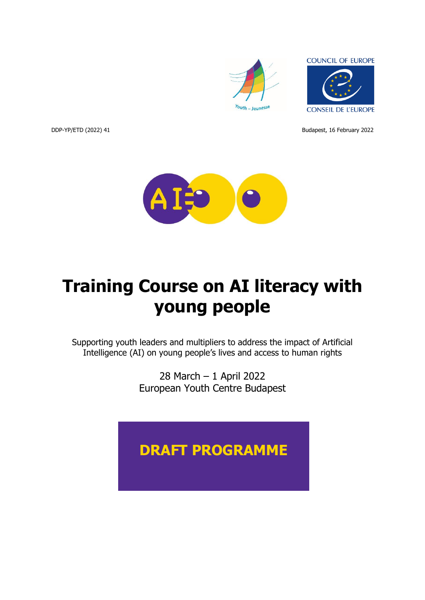



DDP-YP/ETD (2022) 41 Budapest, 16 February 2022



# **Training Course on AI literacy with young people**

Supporting youth leaders and multipliers to address the impact of Artificial Intelligence (AI) on young people's lives and access to human rights

> 28 March – 1 April 2022 European Youth Centre Budapest

# **DRAFT PROGRAMME**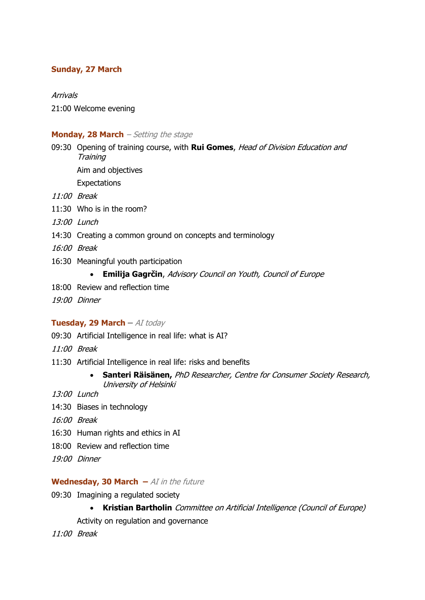# **Sunday, 27 March**

#### Arrivals

21:00 Welcome evening

#### **Monday, 28 March** – Setting the stage

09:30 Opening of training course, with **Rui Gomes**, Head of Division Education and **Training** 

Aim and objectives

Expectations

- 11:00 Break
- 11:30 Who is in the room?
- 13:00 Lunch
- 14:30 Creating a common ground on concepts and terminology
- 16:00 Break
- 16:30 Meaningful youth participation

#### • **Emilija Gagrčin**, Advisory Council on Youth, Council of Europe

- 18:00 Review and reflection time
- 19:00 Dinner

#### **Tuesday, 29 March –** AI today

- 09:30 Artificial Intelligence in real life: what is AI?
- 11:00 Break
- 11:30 Artificial Intelligence in real life: risks and benefits
	- **Santeri Räisänen,** PhD Researcher, Centre for Consumer Society Research, University of Helsinki

13:00 Lunch

- 14:30 Biases in technology
- 16:00 Break
- 16:30 Human rights and ethics in AI
- 18:00 Review and reflection time
- 19:00 Dinner

#### **Wednesday, 30 March –** AI in the future

- 09:30 Imagining a regulated society
	- **Kristian Bartholin** Committee on Artificial Intelligence (Council of Europe)

Activity on regulation and governance

11:00 Break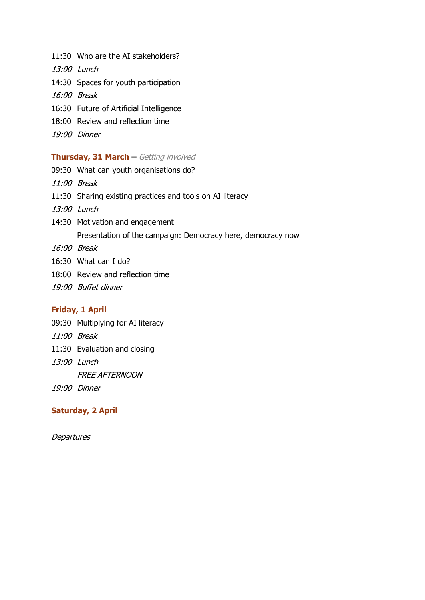- 11:30 Who are the AI stakeholders?
- 13:00 Lunch
- 14:30 Spaces for youth participation
- 16:00 Break
- 16:30 Future of Artificial Intelligence
- 18:00 Review and reflection time
- 19:00 Dinner

#### **Thursday, 31 March –** Getting involved

- 09:30 What can youth organisations do?
- 11:00 Break
- 11:30 Sharing existing practices and tools on AI literacy
- 13:00 Lunch
- 14:30 Motivation and engagement Presentation of the campaign: Democracy here, democracy now
- 16:00 Break
- 16:30 What can I do?
- 18:00 Review and reflection time
- 19:00 Buffet dinner

## **Friday, 1 April**

- 09:30 Multiplying for AI literacy
- 11:00 Break
- 11:30 Evaluation and closing
- 13:00 Lunch

FREE AFTERNOON

19:00 Dinner

#### **Saturday, 2 April**

**Departures**